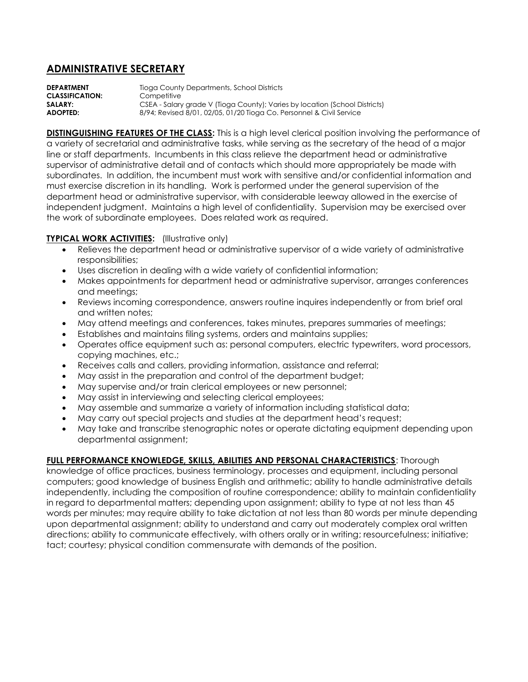## **ADMINISTRATIVE SECRETARY**

**DEPARTMENT** Tioga County Departments, School Districts **CLASSIFICATION:** Competitive **SALARY:** CSEA - Salary grade V (Tioga County); Varies by location (School Districts) **ADOPTED:** 8/94; Revised 8/01, 02/05, 01/20 Tioga Co. Personnel & Civil Service

**DISTINGUISHING FEATURES OF THE CLASS:** This is a high level clerical position involving the performance of a variety of secretarial and administrative tasks, while serving as the secretary of the head of a major line or staff departments. Incumbents in this class relieve the department head or administrative supervisor of administrative detail and of contacts which should more appropriately be made with subordinates. In addition, the incumbent must work with sensitive and/or confidential information and must exercise discretion in its handling. Work is performed under the general supervision of the department head or administrative supervisor, with considerable leeway allowed in the exercise of independent judgment. Maintains a high level of confidentiality. Supervision may be exercised over the work of subordinate employees. Does related work as required.

## **TYPICAL WORK ACTIVITIES:** (Illustrative only)

- Relieves the department head or administrative supervisor of a wide variety of administrative responsibilities;
- Uses discretion in dealing with a wide variety of confidential information;
- Makes appointments for department head or administrative supervisor, arranges conferences and meetings;
- Reviews incoming correspondence, answers routine inquires independently or from brief oral and written notes;
- May attend meetings and conferences, takes minutes, prepares summaries of meetings;
- Establishes and maintains filing systems, orders and maintains supplies;
- Operates office equipment such as: personal computers, electric typewriters, word processors, copying machines, etc.;
- Receives calls and callers, providing information, assistance and referral;
- May assist in the preparation and control of the department budget;
- May supervise and/or train clerical employees or new personnel;
- May assist in interviewing and selecting clerical employees;
- May assemble and summarize a variety of information including statistical data;
- May carry out special projects and studies at the department head's request;
- May take and transcribe stenographic notes or operate dictating equipment depending upon departmental assignment;

## **FULL PERFORMANCE KNOWLEDGE, SKILLS, ABILITIES AND PERSONAL CHARACTERISTICS**: Thorough

knowledge of office practices, business terminology, processes and equipment, including personal computers; good knowledge of business English and arithmetic; ability to handle administrative details independently, including the composition of routine correspondence; ability to maintain confidentiality in regard to departmental matters; depending upon assignment; ability to type at not less than 45 words per minutes; may require ability to take dictation at not less than 80 words per minute depending upon departmental assignment; ability to understand and carry out moderately complex oral written directions; ability to communicate effectively, with others orally or in writing; resourcefulness; initiative; tact; courtesy; physical condition commensurate with demands of the position.